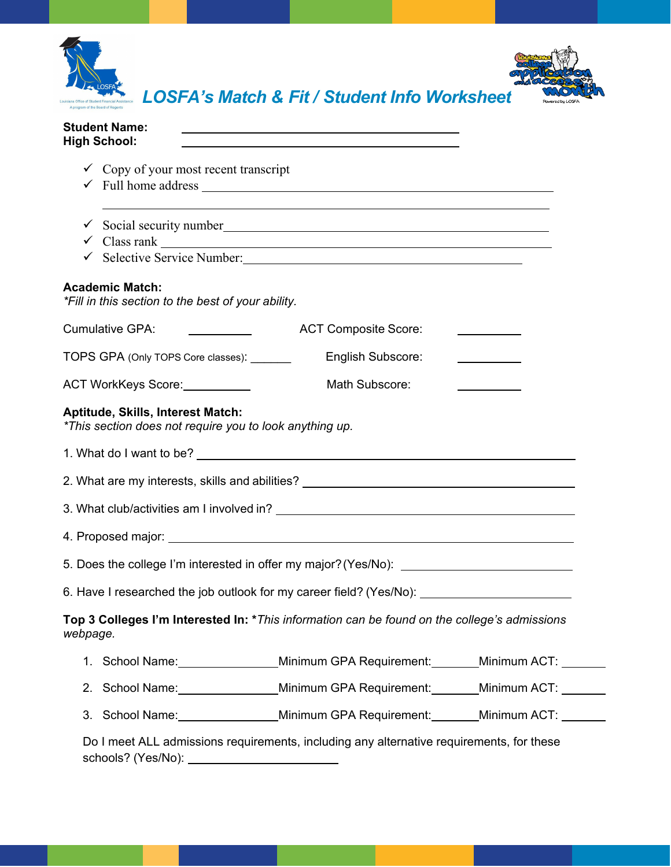

| <b>Student Name:</b><br>the control of the control of the control of the control of the control of the control of the control of the control of the control of the control of the control of the control of the control of the control of the control<br><b>High School:</b> |
|------------------------------------------------------------------------------------------------------------------------------------------------------------------------------------------------------------------------------------------------------------------------------|
| $\checkmark$ Copy of your most recent transcript<br>$\checkmark$ Full home address $\frac{1}{\checkmark}$                                                                                                                                                                    |
| ,我们也不会有什么。""我们的人,我们也不会有什么?""我们的人,我们也不会有什么?""我们的人,我们也不会有什么?""我们的人,我们也不会有什么?""我们的人<br>Social security number<br><u>Social security number</u><br>✓<br>$\checkmark$ Class rank $\Box$                                                                                           |
|                                                                                                                                                                                                                                                                              |
| <b>Academic Match:</b><br>*Fill in this section to the best of your ability.                                                                                                                                                                                                 |
| <b>Cumulative GPA:</b><br><b>ACT Composite Score:</b>                                                                                                                                                                                                                        |
| English Subscore:<br>TOPS GPA (Only TOPS Core classes): _______                                                                                                                                                                                                              |
| Math Subscore:<br>ACT WorkKeys Score:                                                                                                                                                                                                                                        |
| Aptitude, Skills, Interest Match:<br>*This section does not require you to look anything up.                                                                                                                                                                                 |
|                                                                                                                                                                                                                                                                              |
| 2. What are my interests, skills and abilities? ________________________________                                                                                                                                                                                             |
|                                                                                                                                                                                                                                                                              |
|                                                                                                                                                                                                                                                                              |
| 5. Does the college I'm interested in offer my major? (Yes/No): _________________                                                                                                                                                                                            |
| 6. Have I researched the job outlook for my career field? (Yes/No): ________________________________                                                                                                                                                                         |
| Top 3 Colleges I'm Interested In: * This information can be found on the college's admissions<br>webpage.                                                                                                                                                                    |
| 1. School Name: Minimum GPA Requirement: Minimum ACT:                                                                                                                                                                                                                        |
| 2. School Name: Minimum GPA Requirement: Minimum ACT: 1986                                                                                                                                                                                                                   |
| 3. School Name: Minimum GPA Requirement: Minimum ACT: 1986                                                                                                                                                                                                                   |
| Do I meet ALL admissions requirements, including any alternative requirements, for these                                                                                                                                                                                     |

schools? (Yes/No):